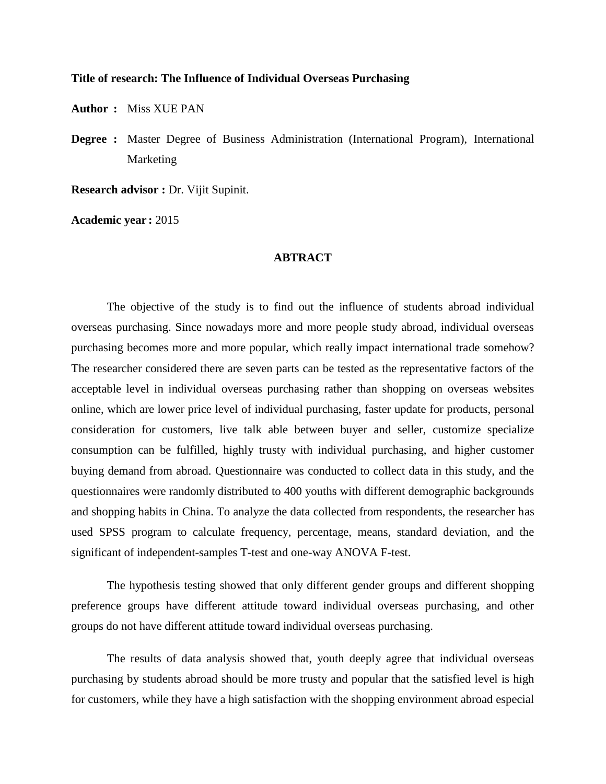## **Title of research: The Influence of Individual Overseas Purchasing**

**Author :** Miss XUE PAN

**Degree :** Master Degree of Business Administration (International Program), International Marketing

**Research advisor :** Dr. Vijit Supinit.

**Academic year :** 2015

## **ABTRACT**

The objective of the study is to find out the influence of students abroad individual overseas purchasing. Since nowadays more and more people study abroad, individual overseas purchasing becomes more and more popular, which really impact international trade somehow? The researcher considered there are seven parts can be tested as the representative factors of the acceptable level in individual overseas purchasing rather than shopping on overseas websites online, which are lower price level of individual purchasing, faster update for products, personal consideration for customers, live talk able between buyer and seller, customize specialize consumption can be fulfilled, highly trusty with individual purchasing, and higher customer buying demand from abroad. Questionnaire was conducted to collect data in this study, and the questionnaires were randomly distributed to 400 youths with different demographic backgrounds and shopping habits in China. To analyze the data collected from respondents, the researcher has used SPSS program to calculate frequency, percentage, means, standard deviation, and the significant of independent-samples T-test and one-way ANOVA F-test.

The hypothesis testing showed that only different gender groups and different shopping preference groups have different attitude toward individual overseas purchasing, and other groups do not have different attitude toward individual overseas purchasing.

The results of data analysis showed that, youth deeply agree that individual overseas purchasing by students abroad should be more trusty and popular that the satisfied level is high for customers, while they have a high satisfaction with the shopping environment abroad especial